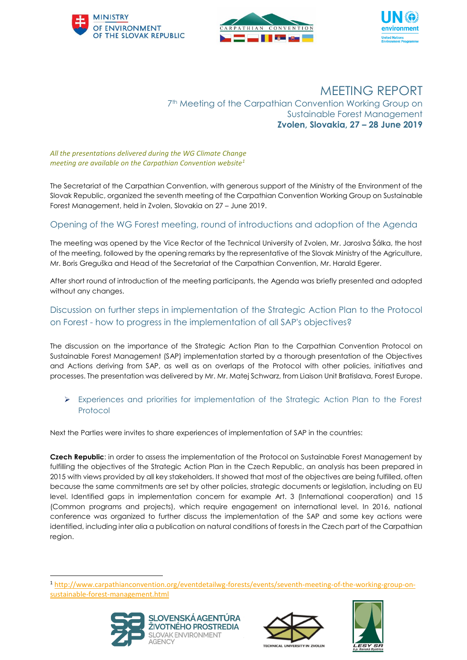





# MEETING REPORT 7th Meeting of the Carpathian Convention Working Group on Sustainable Forest Management **Zvolen, Slovakia, 27 – 28 June 2019**

*All the presentations delivered during the WG Climate Change meeting are available on the Carpathian Convention website<sup>1</sup>*

The Secretariat of the Carpathian Convention, with generous support of the Ministry of the Environment of the Slovak Republic, organized the seventh meeting of the Carpathian Convention Working Group on Sustainable Forest Management, held in Zvolen, Slovakia on 27 – June 2019.

## Opening of the WG Forest meeting, round of introductions and adoption of the Agenda

The meeting was opened by the Vice Rector of the Technical University of Zvolen, Mr. Jaroslva Šálka, the host of the meeting, followed by the opening remarks by the representative of the Slovak Ministry of the Agriculture, Mr. Boris Greguška and Head of the Secretariat of the Carpathian Convention, Mr. Harald Egerer.

After short round of introduction of the meeting participants, the Agenda was briefly presented and adopted without any changes.

### Discussion on further steps in implementation of the Strategic Action Plan to the Protocol on Forest - how to progress in the implementation of all SAP's objectives?

The discussion on the importance of the Strategic Action Plan to the Carpathian Convention Protocol on Sustainable Forest Management (SAP) implementation started by a thorough presentation of the Objectives and Actions deriving from SAP, as well as on overlaps of the Protocol with other policies, initiatives and processes. The presentation was delivered by Mr. Mr. Matej Schwarz, from Liaison Unit Bratislava, Forest Europe.

### ➢ Experiences and priorities for implementation of the Strategic Action Plan to the Forest Protocol

Next the Parties were invites to share experiences of implementation of SAP in the countries:

**Czech Republic**: in order to assess the implementation of the Protocol on Sustainable Forest Management by fulfilling the objectives of the Strategic Action Plan in the Czech Republic, an analysis has been prepared in 2015 with views provided by all key stakeholders. It showed that most of the objectives are being fulfilled, often because the same commitments are set by other policies, strategic documents or legislation, including on EU level. Identified gaps in implementation concern for example Art. 3 (International cooperation) and 15 (Common programs and projects), which require engagement on international level. In 2016, national conference was organized to further discuss the implementation of the SAP and some key actions were identified, including inter alia a publication on natural conditions of forests in the Czech part of the Carpathian region.

<sup>1</sup> [http://www.carpathianconvention.org/eventdetailwg-forests/events/seventh-meeting-of-the-working-group-on](http://www.carpathianconvention.org/eventdetailwg-forests/events/seventh-meeting-of-the-working-group-on-sustainable-forest-management.html)[sustainable-forest-management.html](http://www.carpathianconvention.org/eventdetailwg-forests/events/seventh-meeting-of-the-working-group-on-sustainable-forest-management.html)



 $\overline{a}$ 



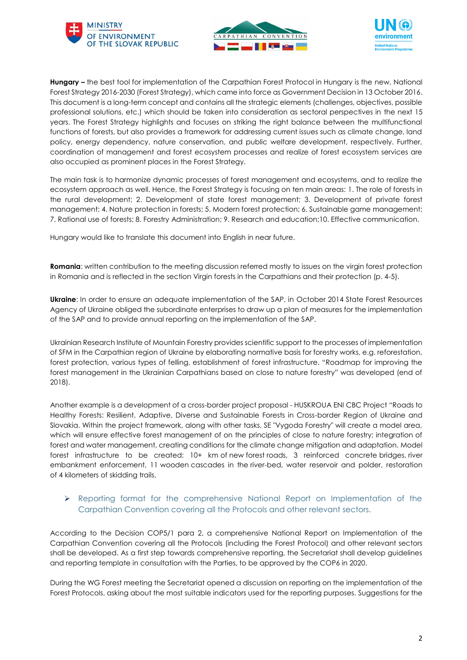





**Hungary –** the best tool for implementation of the Carpathian Forest Protocol in Hungary is the new, National Forest Strategy 2016-2030 (Forest Strategy), which came into force as Government Decision in 13 October 2016. This document is a long-term concept and contains all the strategic elements (challenges, objectives, possible professional solutions, etc.) which should be taken into consideration as sectoral perspectives in the next 15 years. The Forest Strategy highlights and focuses on striking the right balance between the multifunctional functions of forests, but also provides a framework for addressing current issues such as climate change, land policy, energy dependency, nature conservation, and public welfare development, respectively. Further, coordination of management and forest ecosystem processes and realize of forest ecosystem services are also occupied as prominent places in the Forest Strategy.

The main task is to harmonize dynamic processes of forest management and ecosystems, and to realize the ecosystem approach as well. Hence, the Forest Strategy is focusing on ten main areas: 1. The role of forests in the rural development; 2. Development of state forest management; 3. Development of private forest management; 4. Nature protection in forests; 5. Modern forest protection; 6. Sustainable game management; 7. Rational use of forests; 8. Forestry Administration; 9. Research and education;10. Effective communication.

Hungary would like to translate this document into English in near future.

**Romania**: written contribution to the meeting discussion referred mostly to issues on the virgin forest protection in Romania and is reflected in the section Virgin forests in the Carpathians and their protection (p. 4-5).

**Ukraine**: In order to ensure an adequate implementation of the SAP, in October 2014 State Forest Resources Agency of Ukraine obliged the subordinate enterprises to draw up a plan of measures for the implementation of the SAP and to provide annual reporting on the implementation of the SAP.

Ukrainian Research Institute of Mountain Forestry provides scientific support to the processes of implementation of SFM in the Carpathian region of Ukraine by elaborating normative basis for forestry works, e.g. reforestation, forest protection, various types of felling, establishment of forest infrastructure. "Roadmap for improving the forest management in the Ukrainian Carpathians based on close to nature forestry" was developed (end of 2018).

Another example is a development of a cross-border project proposal - HUSKROUA ENI CBC Project "Roads to Healthy Forests: Resilient, Adaptive, Diverse and Sustainable Forests in Cross-border Region of Ukraine and Slovakia. Within the project framework, along with other tasks, SE "Vygoda Forestry" will create a model area, which will ensure effective forest management of on the principles of close to nature forestry; integration of forest and water management, creating conditions for the climate change mitigation and adaptation. Model forest infrastructure to be created: 10+ km of new forest roads, 3 reinforced concrete bridges, river embankment enforcement, 11 wooden cascades in the river-bed, water reservoir and polder, restoration of 4 kilometers of skidding trails.

### ➢ Reporting format for the comprehensive National Report on Implementation of the Carpathian Convention covering all the Protocols and other relevant sectors.

According to the Decision COP5/1 para 2, a comprehensive National Report on Implementation of the Carpathian Convention covering all the Protocols (including the Forest Protocol) and other relevant sectors shall be developed. As a first step towards comprehensive reporting, the Secretariat shall develop guidelines and reporting template in consultation with the Parties, to be approved by the COP6 in 2020.

During the WG Forest meeting the Secretariat opened a discussion on reporting on the implementation of the Forest Protocols, asking about the most suitable indicators used for the reporting purposes. Suggestions for the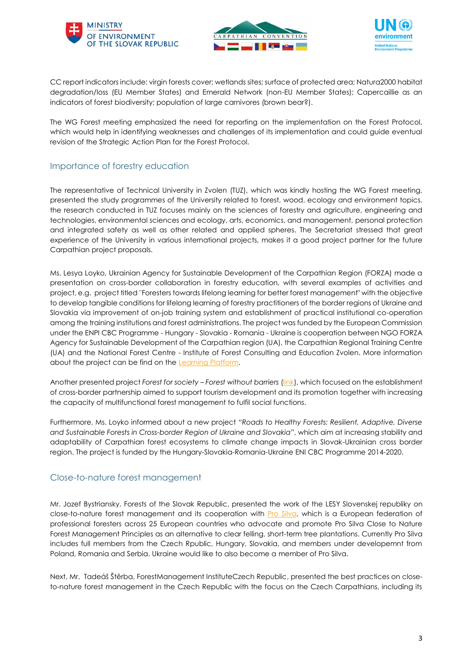





CC report indicators include: virgin forests cover; wetlands sites; surface of protected area; Natura2000 habitat degradation/loss (EU Member States) and Emerald Network (non-EU Member States); Capercaillie as an indicators of forest biodiversity; population of large carnivores (brown bear?).

The WG Forest meeting emphasized the need for reporting on the implementation on the Forest Protocol, which would help in identifying weaknesses and challenges of its implementation and could guide eventual revision of the Strategic Action Plan for the Forest Protocol.

### Importance of forestry education

The representative of Technical University in Zvolen (TUZ), which was kindly hosting the WG Forest meeting, presented the study programmes of the University related to forest, wood, ecology and environment topics. the research conducted in TUZ focuses mainly on the sciences of forestry and agriculture, engineering and technologies, environmental sciences and ecology, arts, economics, and management, personal protection and integrated safety as well as other related and applied spheres. The Secretariat stressed that great experience of the University in various international projects, makes it a good project partner for the future Carpathian project proposals.

Ms. Lesya Loyko, Ukrainian Agency for Sustainable Development of the Carpathian Region (FORZA) made a presentation on cross-border collaboration in forestry education, with several examples of activities and project, e.g. project titled "Foresters towards lifelong learning for better forest management" with the objective to develop tangible conditions for lifelong learning of forestry practitioners of the border regions of Ukraine and Slovakia via improvement of on-job training system and establishment of practical institutional co-operation among the training institutions and forest administrations. The project was funded by the European Commission under the ENPI CBC Programme - Hungary - Slovakia - Romania - Ukraine is cooperation between NGO FORZA Agency for Sustainable Development of the Carpathian region (UA), the Carpathian Regional Training Centre (UA) and the National Forest Centre - Institute of Forest Consulting and Education Zvolen. More information about the project can be find on th[e Learning](learning%20platform%20www.foresterslearning.eu) Platform.

Another presented project *Forest for society – Forest without barriers* [\(link\)](http://www.forsoc.org/site/en/), which focused on the establishment of cross-border partnership aimed to support tourism development and its promotion together with increasing the capacity of multifunctional forest management to fulfil social functions.

Furthermore, Ms. Loyko informed about a new project *"Roads to Healthy Forests: Resilient, Adaptive, Diverse and Sustainable Forests in Cross-border Region of Ukraine and Slovakia*", which aim at increasing stability and adaptability of Carpathian forest ecosystems to climate change impacts in Slovak-Ukrainian cross border region. The project is funded by the Hungary-Slovakia-Romania-Ukraine ENI CBC Programme 2014-2020.

#### Close-to-nature forest management

Mr. Jozef Bystriansky, Forests of the Slovak Republic, presented the work of the LESY Slovenskej republiky on close-to-nature forest management and its cooperation with [Pro Silva,](https://www.prosilva.org/) which is a European federation of professional foresters across 25 European countries who advocate and promote Pro Silva Close to Nature Forest Management Principles as an alternative to clear felling, short-term tree plantations. Currently Pro Silva includes full members from the Czech Rpublic, Hungary, Slovakia, and members under developemnt from Poland, Romania and Serbia. Ukraine would like to also become a member of Pro Silva.

Next, Mr. Tadeáš Štěrba, ForestManagement InstituteCzech Republic, presented the best practices on closeto-nature forest management in the Czech Republic with the focus on the Czech Carpathians, including its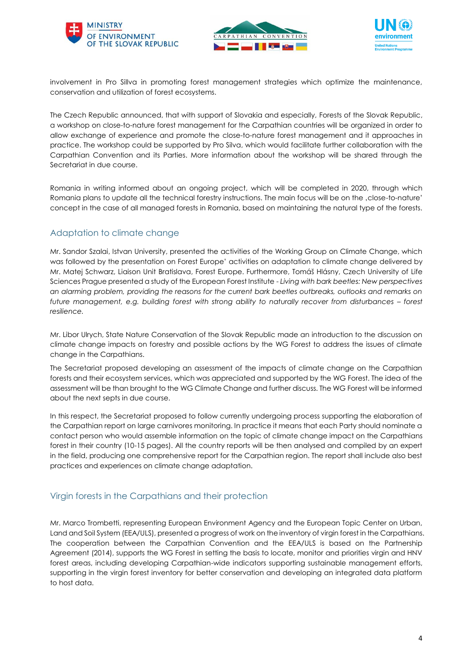





involvement in Pro Sillva in promoting forest management strategies which optimize the maintenance, conservation and utilization of forest ecosystems.

The Czech Republic announced, that with support of Slovakia and especially, Forests of the Slovak Republic, a workshop on close-to-nature forest management for the Carpathian countries will be organized in order to allow exchange of experience and promote the close-to-nature forest management and it approaches in practice. The workshop could be supported by Pro Silva, which would facilitate further collaboration with the Carpathian Convention and its Parties. More information about the workshop will be shared through the Secretariat in due course.

Romania in writing informed about an ongoing project, which will be completed in 2020, through which Romania plans to update all the technical forestry instructions. The main focus will be on the , close-to-nature' concept in the case of all managed forests in Romania, based on maintaining the natural type of the forests.

## Adaptation to climate change

Mr. Sandor Szalai, Istvan University, presented the activities of the Working Group on Climate Change, which was followed by the presentation on Forest Europe' activities on adaptation to climate change delivered by Mr. Matej Schwarz, Liaison Unit Bratislava, Forest Europe. Furthermore, Tomáš Hlásny, Czech University of Life Sciences Prague presented a study of the European Forest Institute - *Living with bark beetles: New perspectives an alarming problem, providing the reasons for the current bark beetles outbreaks, outlooks and remarks on future management, e.g. building forest with strong ability to naturally recover from disturbances – forest resilience.*

Mr. Libor Ulrych, State Nature Conservation of the Slovak Republic made an introduction to the discussion on climate change impacts on forestry and possible actions by the WG Forest to address the issues of climate change in the Carpathians.

The Secretariat proposed developing an assessment of the impacts of climate change on the Carpathian forests and their ecosystem services, which was appreciated and supported by the WG Forest. The idea of the assessment will be than brought to the WG Climate Change and further discuss. The WG Forest will be informed about the next septs in due course.

In this respect, the Secretariat proposed to follow currently undergoing process supporting the elaboration of the Carpathian report on large carnivores monitoring. In practice it means that each Party should nominate a contact person who would assemble information on the topic of climate change impact on the Carpathians forest in their country (10-15 pages). All the country reports will be then analysed and compiled by an expert in the field, producing one comprehensive report for the Carpathian region. The report shall include also best practices and experiences on climate change adaptation.

### Virgin forests in the Carpathians and their protection

Mr. Marco Trombetti, representing European Environment Agency and the European Topic Center on Urban, Land and Soil System (EEA/ULS), presented a progress of work on the inventory of virgin forest in the Carpathians. The cooperation between the Carpathian Convention and the EEA/ULS is based on the Partnership Agreement (2014), supports the WG Forest in setting the basis to locate, monitor and priorities virgin and HNV forest areas, including developing Carpathian-wide indicators supporting sustainable management efforts, supporting in the virgin forest inventory for better conservation and developing an integrated data platform to host data.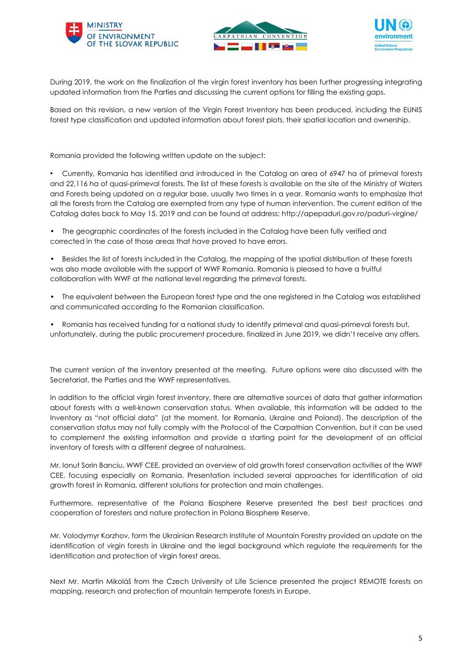





During 2019, the work on the finalization of the virgin forest inventory has been further progressing integrating updated information from the Parties and discussing the current options for filling the existing gaps.

Based on this revision, a new version of the Virgin Forest Inventory has been produced, including the EUNIS forest type classification and updated information about forest plots, their spatial location and ownership.

Romania provided the following written update on the subject:

- Currently, Romania has identified and introduced in the Catalog an area of 6947 ha of primeval forests and 22,116 ha of quasi-primeval forests. The list of these forests is available on the site of the Ministry of Waters and Forests being updated on a regular base, usually two times in a year. Romania wants to emphasize that all the forests from the Catalog are exempted from any type of human intervention. The current edition of the Catalog dates back to May 15, 2019 and can be found at address: <http://apepaduri.gov.ro/paduri-virgine/>
- The geographic coordinates of the forests included in the Catalog have been fully verified and corrected in the case of those areas that have proved to have errors.
- Besides the list of forests included in the Catalog, the mapping of the spatial distribution of these forests was also made available with the support of WWF Romania. Romania is pleased to have a fruitful collaboration with WWF at the national level regarding the primeval forests.
- The equivalent between the European forest type and the one registered in the Catalog was established and communicated according to the Romanian classification.
- Romania has received funding for a national study to identify primeval and quasi-primeval forests but, unfortunately, during the public procurement procedure, finalized in June 2019, we didn't receive any offers.

The current version of the inventory presented at the meeting. Future options were also discussed with the Secretariat, the Parties and the WWF representatives.

In addition to the official virgin forest inventory, there are alternative sources of data that gather information about forests with a well-known conservation status. When available, this information will be added to the Inventory as "not official data" (at the moment, for Romania, Ukraine and Poland). The description of the conservation status may not fully comply with the Protocol of the Carpathian Convention, but it can be used to complement the existing information and provide a starting point for the development of an official inventory of forests with a different degree of naturalness.

Mr. Ionut Sorin Banciu, WWF CEE, provided an overview of old growth forest conservation activities of the WWF CEE, focusing especially on Romania. Presentation included several approaches for identification of old growth forest in Romania, different solutions for protection and main challenges.

Furthermore, representative of the Polana Biosphere Reserve presented the best best practices and cooperation of foresters and nature protection in Polana Biosphere Reserve.

Mr. Volodymyr Korzhov, form the Ukrainian Research Institute of Mountain Forestry provided an update on the identification of virgin forests in Ukraine and the legal background which regulate the requirements for the identification and protection of virgin forest areas.

Next Mr. Martin Mikoláš from the Czech University of Life Science presented the project REMOTE forests on mapping, research and protection of mountain temperate forests in Europe.